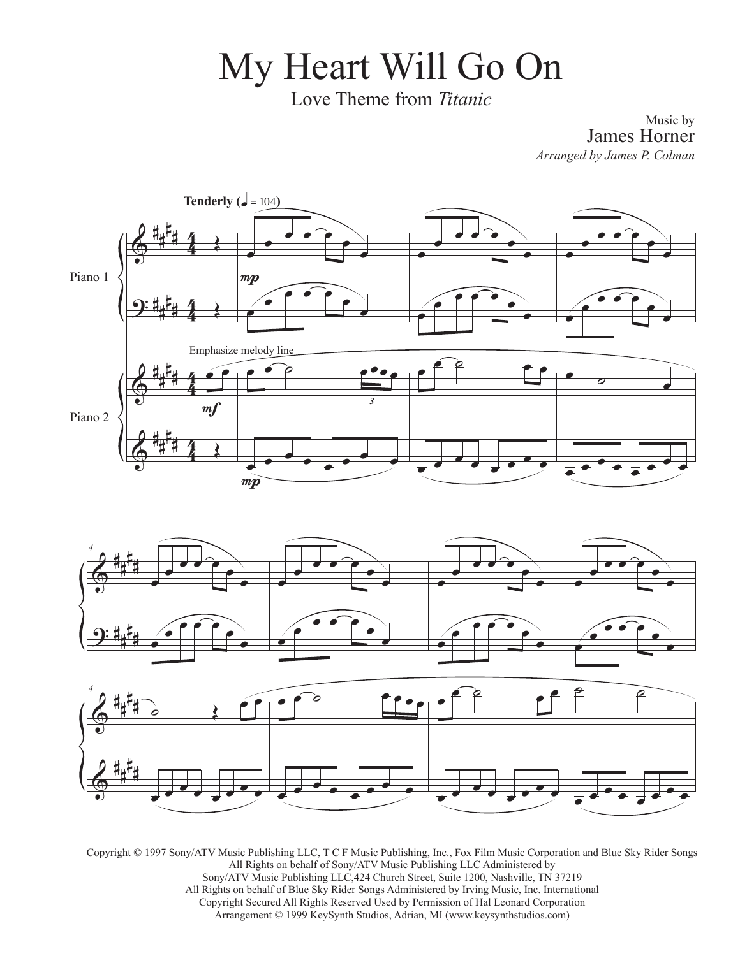My Heart Will Go On

Love Theme from *Titanic*

James Horner *Arranged by James P. Colman* Music by





Copyright © 1997 Sony/ATV Music Publishing LLC, T C F Music Publishing, Inc., Fox Film Music Corporation and Blue Sky Rider Songs All Rights on behalf of Sony/ATV Music Publishing LLC Administered by Sony/ATV Music Publishing LLC,424 Church Street, Suite 1200, Nashville, TN 37219 All Rights on behalf of Blue Sky Rider Songs Administered by Irving Music, Inc. International Copyright Secured All Rights Reserved Used by Permission of Hal Leonard Corporation Arrangement © 1999 KeySynth Studios, Adrian, MI (www.keysynthstudios.com)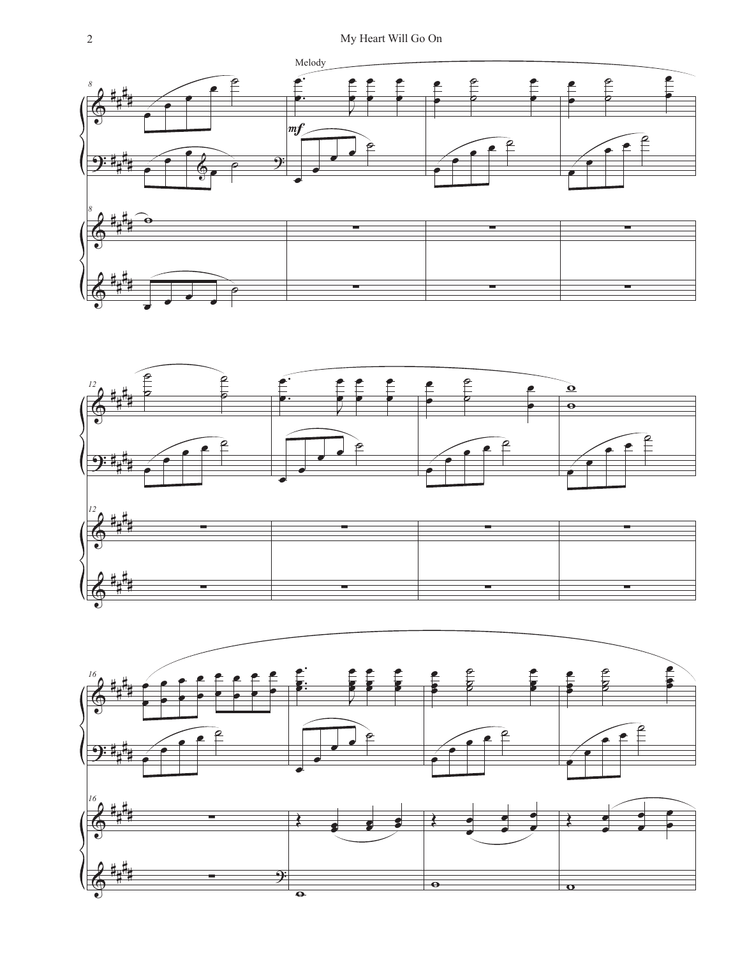



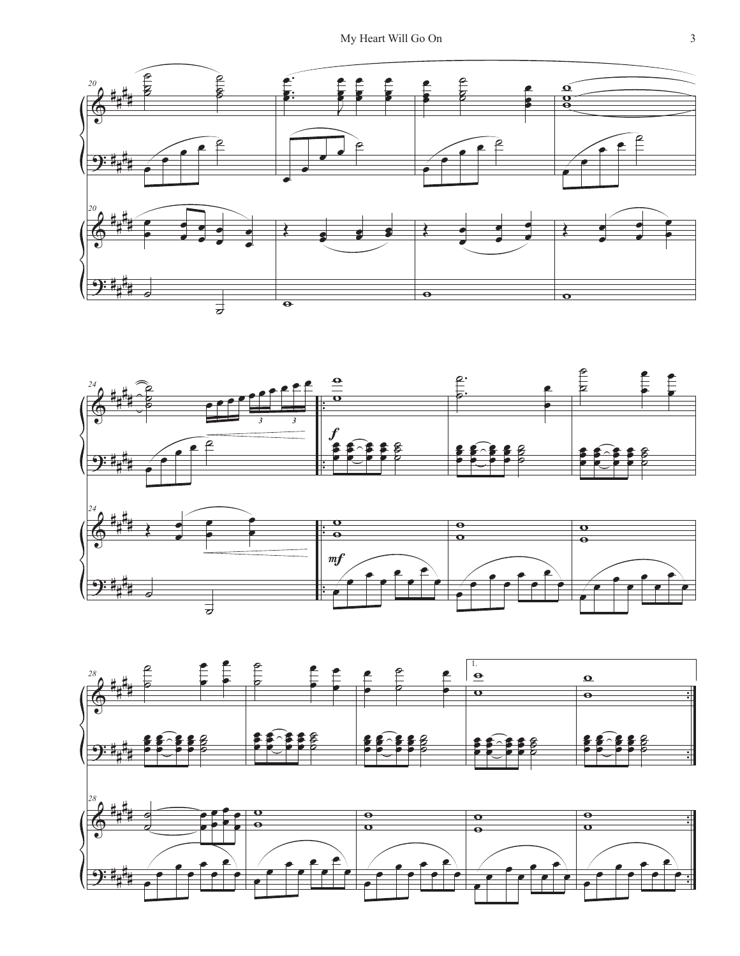